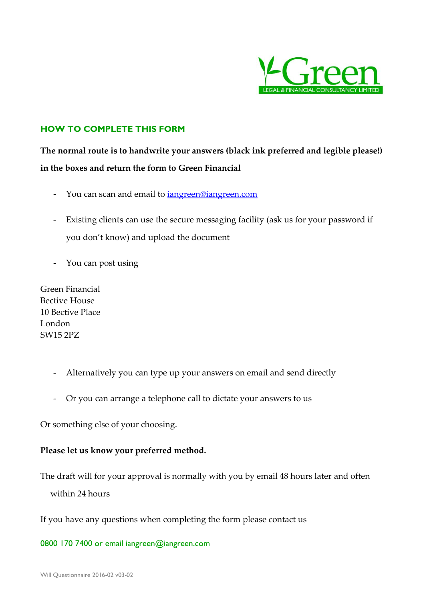

# **HOW TO COMPLETE THIS FORM**

**The normal route is to handwrite your answers (black ink preferred and legible please!) in the boxes and return the form to Green Financial** 

- You can scan and email to *iangreen@iangreen.com*
- Existing clients can use the secure messaging facility (ask us for your password if you don't know) and upload the document
- You can post using

Green Financial Bective House 10 Bective Place London SW15 2PZ

- Alternatively you can type up your answers on email and send directly
- Or you can arrange a telephone call to dictate your answers to us

Or something else of your choosing.

## **Please let us know your preferred method.**

The draft will for your approval is normally with you by email 48 hours later and often

within 24 hours

If you have any questions when completing the form please contact us

0800 170 7400 or email iangreen@iangreen.com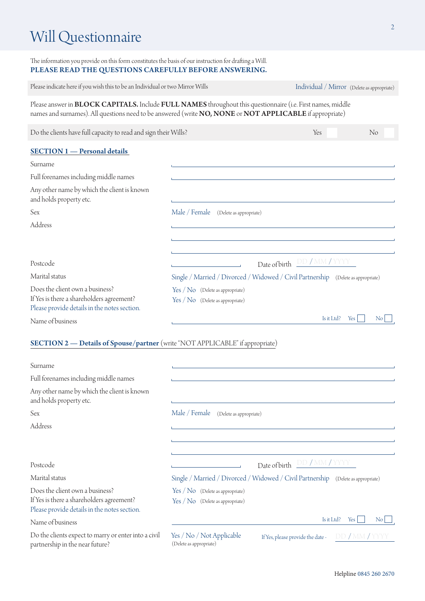# Will Questionnaire

The information you provide on this form constitutes the basis of our instruction for drafting a Will. PLEASE READ THE QUESTIONS CAREFULLY BEFORE ANSWERING.

| Please indicate here if you wish this to be an Individual or two Mirror Wills                                                                                                                                                  |                                                                                   | Individual / Mirror (Delete as appropriate) |            |
|--------------------------------------------------------------------------------------------------------------------------------------------------------------------------------------------------------------------------------|-----------------------------------------------------------------------------------|---------------------------------------------|------------|
| Please answer in <b>BLOCK CAPITALS.</b> Include FULL NAMES throughout this questionnaire (i.e. First names, middle<br>names and surnames). All questions need to be answered (write NO, NONE or NOT APPLICABLE if appropriate) |                                                                                   |                                             |            |
| Do the clients have full capacity to read and sign their Wills?                                                                                                                                                                |                                                                                   | Yes                                         | No         |
| <b>SECTION 1</b> - Personal details                                                                                                                                                                                            |                                                                                   |                                             |            |
| Surname                                                                                                                                                                                                                        |                                                                                   |                                             |            |
| Full forenames including middle names                                                                                                                                                                                          |                                                                                   |                                             |            |
| Any other name by which the client is known<br>and holds property etc.                                                                                                                                                         |                                                                                   |                                             |            |
| Sex                                                                                                                                                                                                                            | Male / Female<br>(Delete as appropriate)                                          |                                             |            |
| Address                                                                                                                                                                                                                        |                                                                                   |                                             |            |
|                                                                                                                                                                                                                                |                                                                                   |                                             |            |
|                                                                                                                                                                                                                                |                                                                                   |                                             |            |
| Postcode                                                                                                                                                                                                                       |                                                                                   | Date of birth DD / MM / YYYY                |            |
| Marital status                                                                                                                                                                                                                 | Single / Married / Divorced / Widowed / Civil Partnership (Delete as appropriate) |                                             |            |
| Does the client own a business?<br>If Yes is there a shareholders agreement?<br>Please provide details in the notes section.                                                                                                   | Yes / No (Delete as appropriate)<br>$Yes / No$ (Delete as appropriate)            |                                             |            |
| Name of business                                                                                                                                                                                                               |                                                                                   | Is it Ltd?                                  | Yes<br>No. |

## SECTION 2 — Details of Spouse/partner (write "NOT APPLICABLE" if appropriate)

| Surname                                                                                                                      |                                                                                                             |
|------------------------------------------------------------------------------------------------------------------------------|-------------------------------------------------------------------------------------------------------------|
| Full forenames including middle names                                                                                        |                                                                                                             |
| Any other name by which the client is known<br>and holds property etc.                                                       |                                                                                                             |
| Sex                                                                                                                          | Male / Female<br>(Delete as appropriate)                                                                    |
| Address                                                                                                                      |                                                                                                             |
|                                                                                                                              |                                                                                                             |
|                                                                                                                              |                                                                                                             |
| Postcode                                                                                                                     | DD / MM / YYYY<br>Date of birth                                                                             |
| Marital status                                                                                                               | Single / Married / Divorced / Widowed / Civil Partnership (Delete as appropriate)                           |
| Does the client own a business?<br>If Yes is there a shareholders agreement?<br>Please provide details in the notes section. | Yes / No (Delete as appropriate)<br>$Yes / No$ (Delete as appropriate)                                      |
| Name of business                                                                                                             | Is it Ltd?<br>Yes<br>$\overline{N_{0}}$                                                                     |
| Do the clients expect to marry or enter into a civil<br>partnership in the near future?                                      | Yes / No / Not Applicable<br>DD / MM / YYYY<br>If Yes, please provide the date -<br>(Delete as appropriate) |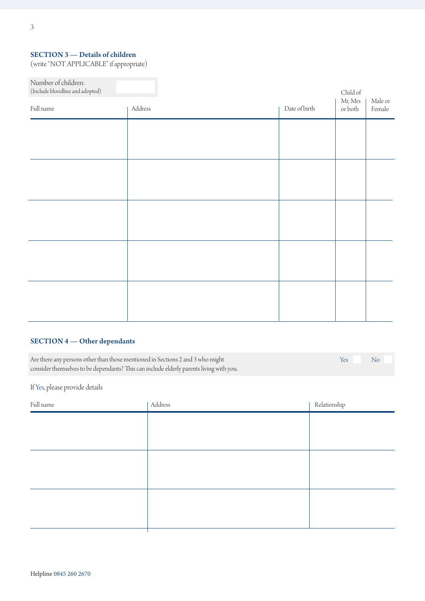### SECTION 3 — Details of children

(write "NOT APPLICABLE" if appropriate)

| Number of children:<br>$\left($ Include bloodline and adopted) |         |               | Child of           |                   |
|----------------------------------------------------------------|---------|---------------|--------------------|-------------------|
| Full name                                                      | Address | Date of birth | Mr, Mrs<br>or both | Male or<br>Female |
|                                                                |         |               |                    |                   |
|                                                                |         |               |                    |                   |
|                                                                |         |               |                    |                   |
|                                                                |         |               |                    |                   |
|                                                                |         |               |                    |                   |
|                                                                |         |               |                    |                   |
|                                                                |         |               |                    |                   |
|                                                                |         |               |                    |                   |
|                                                                |         |               |                    |                   |
|                                                                |         |               |                    |                   |

## SECTION 4 — Other dependants

Are there any persons other than those mentioned in Sections 2 and 3 who might consider themselves to be dependants? This can include elderly parents living with you. Yes No

If Yes, please provide details

| Full name | Address | Relationship |
|-----------|---------|--------------|
|           |         |              |
|           |         |              |
|           |         |              |
|           |         |              |
|           |         |              |
|           |         |              |
|           |         |              |
|           |         |              |
|           |         |              |
|           |         |              |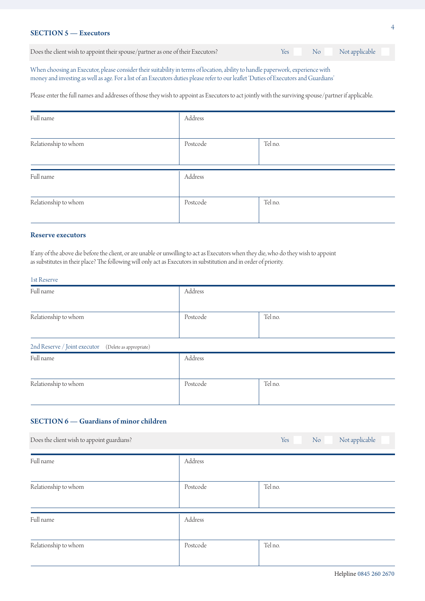#### SECTION 5 — Executors

| Does the client wish to appoint their spouse/partner as one of their Executors? | Yes | No Not applicable |
|---------------------------------------------------------------------------------|-----|-------------------|

When choosing an Executor, please consider their suitability in terms of location, ability to handle paperwork, experience with money and investing as well as age. For a list of an Executors duties please refer to our leaflet 'Duties of Executors and Guardians'

Please enter the full names and addresses of those they wish to appoint as Executors to act jointly with the surviving spouse/partner if applicable.

| Full name            | Address  |         |
|----------------------|----------|---------|
| Relationship to whom | Postcode | Tel no. |
| Full name            | Address  |         |
| Relationship to whom | Postcode | Tel no. |

#### Reserve executors

If any of the above die before the client, or are unable or unwilling to act as Executors when they die, who do they wish to appoint as substitutes in their place? The following will only act as Executors in substitution and in order of priority.

#### 1st Reserve

| Full name                                            | Address  |         |
|------------------------------------------------------|----------|---------|
| Relationship to whom                                 | Postcode | Tel no. |
| 2nd Reserve / Joint executor (Delete as appropriate) |          |         |
| Full name                                            | Address  |         |
| Relationship to whom                                 | Postcode | Tel no. |

## SECTION 6 — Guardians of minor children

| Does the client wish to appoint guardians? |          | Not applicable<br>No<br>Yes |
|--------------------------------------------|----------|-----------------------------|
| Full name                                  | Address  |                             |
| Relationship to whom                       | Postcode | Tel no.                     |
| Full name                                  | Address  |                             |
| Relationship to whom                       | Postcode | Tel no.                     |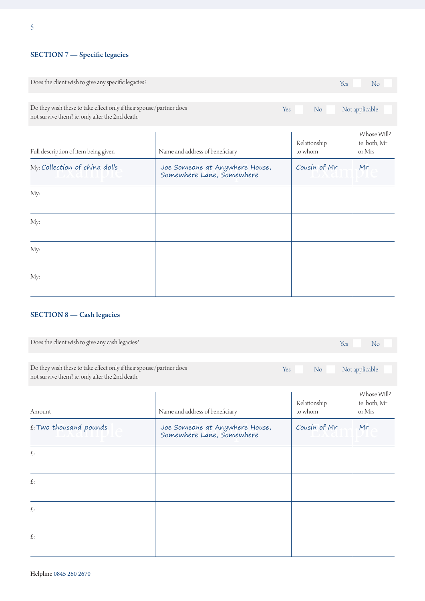# SECTION 7 - Specific legacies

| Does the client wish to give any specific legacies?                                                                    |                                                             |     | Yes                     | No                                    |
|------------------------------------------------------------------------------------------------------------------------|-------------------------------------------------------------|-----|-------------------------|---------------------------------------|
| Do they wish these to take effect only if their spouse/partner does<br>not survive them? ie. only after the 2nd death. |                                                             | Yes | No                      | Not applicable                        |
| Full description of item being given                                                                                   | Name and address of beneficiary                             |     | Relationship<br>to whom | Whose Will?<br>ie: both, Mr<br>or Mrs |
| My: Collection of china dolls                                                                                          | Joe Someone at Anywhere House,<br>Somewhere Lane, Somewhere |     | Cousin of Mr            | Mr                                    |
| My:                                                                                                                    |                                                             |     |                         |                                       |
| My:                                                                                                                    |                                                             |     |                         |                                       |
| My:                                                                                                                    |                                                             |     |                         |                                       |
| My:                                                                                                                    |                                                             |     |                         |                                       |

# SECTION 8 — Cash legacies

| Does the client wish to give any cash legacies?                                                                        |                                                             | Yes                     | No                                    |
|------------------------------------------------------------------------------------------------------------------------|-------------------------------------------------------------|-------------------------|---------------------------------------|
| Do they wish these to take effect only if their spouse/partner does<br>not survive them? ie. only after the 2nd death. |                                                             | Yes<br>N <sub>o</sub>   | Not applicable                        |
| Amount                                                                                                                 | Name and address of beneficiary                             | Relationship<br>to whom | Whose Will?<br>ie: both, Mr<br>or Mrs |
| £: Two thousand pounds                                                                                                 | Joe Someone at Anywhere House,<br>Somewhere Lane, Somewhere | Cousin of Mr            | Mr                                    |
| £:                                                                                                                     |                                                             |                         |                                       |
| $\pounds$                                                                                                              |                                                             |                         |                                       |
| £:                                                                                                                     |                                                             |                         |                                       |
| £:                                                                                                                     |                                                             |                         |                                       |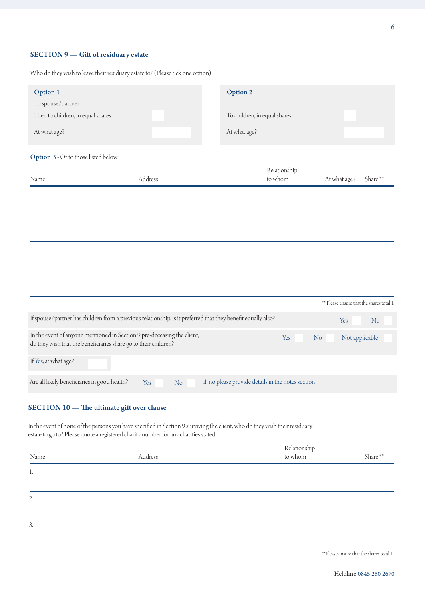#### SECTION 9 — Gift of residuary estate

Who do they wish to leave their residuary estate to? (Please tick one option)

| Option 1                          | Option 2                     |  |
|-----------------------------------|------------------------------|--|
| To spouse/partner                 |                              |  |
| Then to children, in equal shares | To children, in equal shares |  |
| At what age?                      | At what age?                 |  |

#### Option 3 - Or to those listed below

| Name                                                                                                                                       | Address                                                                                                      | Relationship<br>to whom | At what age?                              | Share**        |
|--------------------------------------------------------------------------------------------------------------------------------------------|--------------------------------------------------------------------------------------------------------------|-------------------------|-------------------------------------------|----------------|
|                                                                                                                                            |                                                                                                              |                         |                                           |                |
|                                                                                                                                            |                                                                                                              |                         |                                           |                |
|                                                                                                                                            |                                                                                                              |                         |                                           |                |
|                                                                                                                                            |                                                                                                              |                         |                                           |                |
|                                                                                                                                            |                                                                                                              |                         |                                           |                |
|                                                                                                                                            |                                                                                                              |                         | ** Please ensure that the shares total 1. |                |
|                                                                                                                                            | If spouse/partner has children from a previous relationship, is it preferred that they benefit equally also? |                         | Yes                                       | N <sub>o</sub> |
| In the event of anyone mentioned in Section 9 pre-deceasing the client,<br>do they wish that the beneficiaries share go to their children? |                                                                                                              | Yes<br>No               | Not applicable                            |                |
| If Yes, at what age?                                                                                                                       |                                                                                                              |                         |                                           |                |
| Are all likely beneficiaries in good health?                                                                                               | if no please provide details in the notes section<br>Yes<br>N <sub>o</sub>                                   |                         |                                           |                |

#### SECTION 10 — The ultimate gift over clause

In the event of none of the persons you have specified in Section 9 surviving the client, who do they wish their residuary estate to go to? Please quote a registered charity number for any charities stated.

| Name | Address | Relationship<br>to whom | Share** |
|------|---------|-------------------------|---------|
| 1.   |         |                         |         |
| 2.   |         |                         |         |
| 3.   |         |                         |         |
|      |         |                         |         |

\*\*Please ensure that the shares total 1.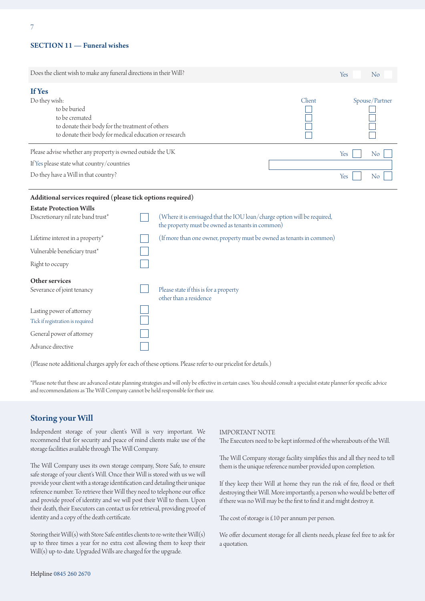#### SECTION 11 — Funeral wishes

Tick if registration is required General power of attorney

Advance directive

| Does the client wish to make any funeral directions in their Will?                                                                                                      |  |                                                                                                                              |        |     | No             |  |
|-------------------------------------------------------------------------------------------------------------------------------------------------------------------------|--|------------------------------------------------------------------------------------------------------------------------------|--------|-----|----------------|--|
| If Yes<br>Do they wish:<br>to be buried<br>to be cremated<br>to donate their body for the treatment of others<br>to donate their body for medical education or research |  |                                                                                                                              | Client |     | Spouse/Partner |  |
| Please advise whether any property is owned outside the UK                                                                                                              |  |                                                                                                                              |        | Yes | N <sub>o</sub> |  |
| If Yes please state what country/countries                                                                                                                              |  |                                                                                                                              |        |     |                |  |
| Do they have a Will in that country?                                                                                                                                    |  |                                                                                                                              |        | Yes | N <sub>o</sub> |  |
| Additional services required (please tick options required)                                                                                                             |  |                                                                                                                              |        |     |                |  |
| <b>Estate Protection Wills</b>                                                                                                                                          |  |                                                                                                                              |        |     |                |  |
| Discretionary nil rate band trust*                                                                                                                                      |  | (Where it is envisaged that the IOU loan/charge option will be required,<br>the property must be owned as tenants in common) |        |     |                |  |
| Lifetime interest in a property*                                                                                                                                        |  | (If more than one owner, property must be owned as tenants in common)                                                        |        |     |                |  |
| Vulnerable beneficiary trust*                                                                                                                                           |  |                                                                                                                              |        |     |                |  |
| Right to occupy                                                                                                                                                         |  |                                                                                                                              |        |     |                |  |
| Other services<br>Severance of joint tenancy                                                                                                                            |  | Please state if this is for a property<br>other than a residence                                                             |        |     |                |  |
| Lasting power of attorney<br>Tick if registration is required                                                                                                           |  |                                                                                                                              |        |     |                |  |

(Please note additional charges apply for each of these options. Please refer to our pricelist for details.)

 $\overline{\Box}$